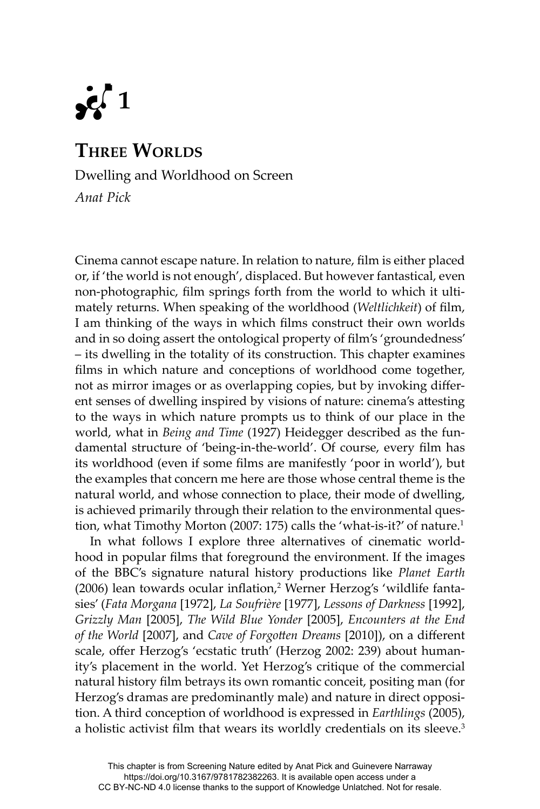

# **THREE WORLDS** Dwelling and Worldhood on Screen

*Anat Pick*

Cinema cannot escape nature. In relation to nature, film is either placed or, if 'the world is not enough', displaced. But however fantastical, even non-photographic, film springs forth from the world to which it ultimately returns. When speaking of the worldhood (*Weltlichkeit*) of film, I am thinking of the ways in which films construct their own worlds and in so doing assert the ontological property of film's 'groundedness' – its dwelling in the totality of its construction. This chapter examines films in which nature and conceptions of worldhood come together, not as mirror images or as overlapping copies, but by invoking different senses of dwelling inspired by visions of nature: cinema's attesting to the ways in which nature prompts us to think of our place in the world, what in *Being and Time* (1927) Heidegger described as the fundamental structure of 'being-in-the-world'. Of course, every film has its worldhood (even if some films are manifestly 'poor in world'), but the examples that concern me here are those whose central theme is the natural world, and whose connection to place, their mode of dwelling, is achieved primarily through their relation to the environmental question, what Timothy Morton (2007: 175) calls the 'what-is-it?' of nature.<sup>1</sup>

In what follows I explore three alternatives of cinematic worldhood in popular films that foreground the environment. If the images of the BBC's signature natural history productions like *Planet Earth* (2006) lean towards ocular inflation,<sup>2</sup> Werner Herzog's 'wildlife fantasies' (*Fata Morgana* [1972], *La Soufrière* [1977], *Lessons of Darkness* [1992], *Grizzly Man* [2005], *The Wild Blue Yonder* [2005], *Encounters at the End of the World* [2007], and *Cave of Forgotten Dreams* [2010]), on a different scale, offer Herzog's 'ecstatic truth' (Herzog 2002: 239) about humanity's placement in the world. Yet Herzog's critique of the commercial natural history film betrays its own romantic conceit, positing man (for Herzog's dramas are predominantly male) and nature in direct opposition. A third conception of worldhood is expressed in *Earthlings* (2005), a holistic activist film that wears its worldly credentials on its sleeve.<sup>3</sup>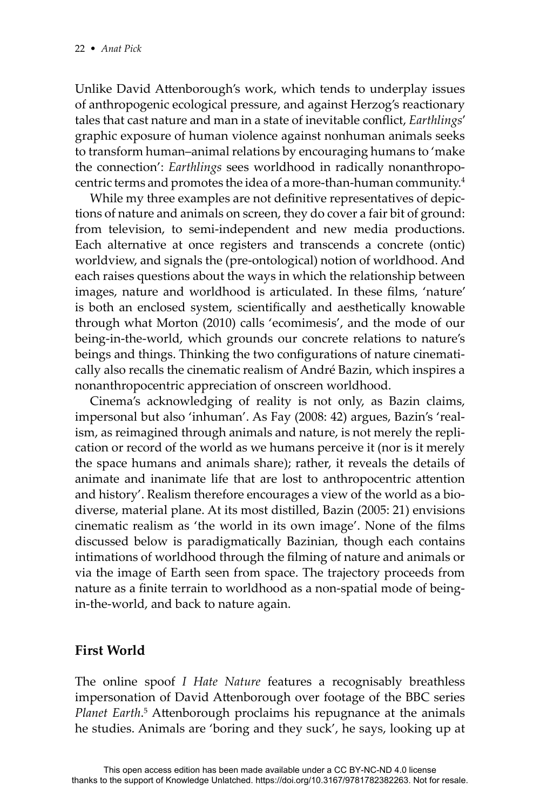Unlike David Attenborough's work, which tends to underplay issues of anthropogenic ecological pressure, and against Herzog's reactionary tales that cast nature and man in a state of inevitable conflict, *Earthlings*' graphic exposure of human violence against nonhuman animals seeks to transform human–animal relations by encouraging humans to 'make the connection': *Earthlings* sees worldhood in radically nonanthropocentric terms and promotes the idea of a more-than-human community.4

While my three examples are not definitive representatives of depictions of nature and animals on screen, they do cover a fair bit of ground: from television, to semi-independent and new media productions. Each alternative at once registers and transcends a concrete (ontic) worldview, and signals the (pre-ontological) notion of worldhood. And each raises questions about the ways in which the relationship between images, nature and worldhood is articulated. In these films, 'nature' is both an enclosed system, scientifically and aesthetically knowable through what Morton (2010) calls 'ecomimesis', and the mode of our being-in-the-world, which grounds our concrete relations to nature's beings and things. Thinking the two configurations of nature cinematically also recalls the cinematic realism of André Bazin, which inspires a nonanthropocentric appreciation of onscreen worldhood.

Cinema's acknowledging of reality is not only, as Bazin claims, impersonal but also 'inhuman'. As Fay (2008: 42) argues, Bazin's 'realism, as reimagined through animals and nature, is not merely the replication or record of the world as we humans perceive it (nor is it merely the space humans and animals share); rather, it reveals the details of animate and inanimate life that are lost to anthropocentric attention and history'. Realism therefore encourages a view of the world as a biodiverse, material plane. At its most distilled, Bazin (2005: 21) envisions cinematic realism as 'the world in its own image'. None of the films discussed below is paradigmatically Bazinian, though each contains intimations of worldhood through the filming of nature and animals or via the image of Earth seen from space. The trajectory proceeds from nature as a finite terrain to worldhood as a non-spatial mode of beingin-the-world, and back to nature again.

#### **First World**

The online spoof *I Hate Nature* features a recognisably breathless impersonation of David Attenborough over footage of the BBC series Planet Earth.<sup>5</sup> Attenborough proclaims his repugnance at the animals he studies. Animals are 'boring and they suck', he says, looking up at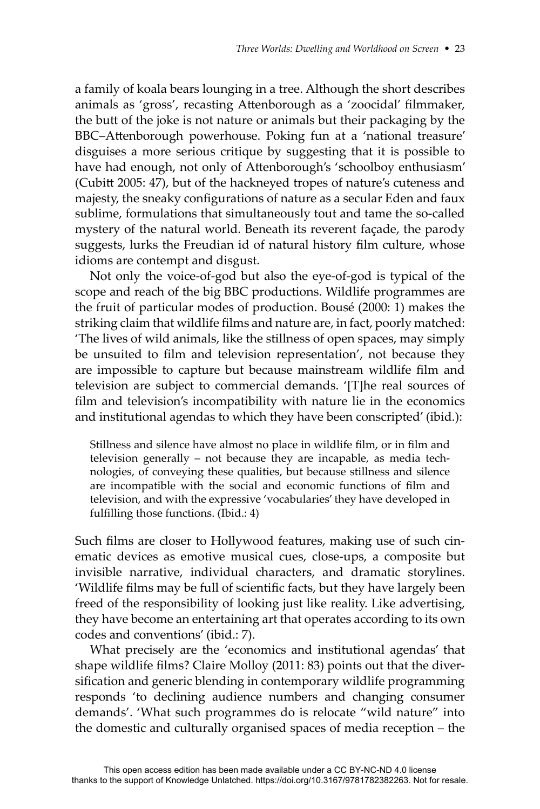a family of koala bears lounging in a tree. Although the short describes animals as 'gross', recasting Attenborough as a 'zoocidal' filmmaker, the butt of the joke is not nature or animals but their packaging by the BBC–Attenborough powerhouse. Poking fun at a 'national treasure' disguises a more serious critique by suggesting that it is possible to have had enough, not only of Attenborough's 'schoolboy enthusiasm' (Cubitt 2005: 47), but of the hackneyed tropes of nature's cuteness and majesty, the sneaky configurations of nature as a secular Eden and faux sublime, formulations that simultaneously tout and tame the so-called mystery of the natural world. Beneath its reverent façade, the parody suggests, lurks the Freudian id of natural history film culture, whose idioms are contempt and disgust.

Not only the voice-of-god but also the eye-of-god is typical of the scope and reach of the big BBC productions. Wildlife programmes are the fruit of particular modes of production. Bousé (2000: 1) makes the striking claim that wildlife films and nature are, in fact, poorly matched: 'The lives of wild animals, like the stillness of open spaces, may simply be unsuited to film and television representation', not because they are impossible to capture but because mainstream wildlife film and television are subject to commercial demands. '[T]he real sources of film and television's incompatibility with nature lie in the economics and institutional agendas to which they have been conscripted' (ibid.):

Stillness and silence have almost no place in wildlife film, or in film and television generally – not because they are incapable, as media technologies, of conveying these qualities, but because stillness and silence are incompatible with the social and economic functions of film and television, and with the expressive 'vocabularies' they have developed in fulfilling those functions. (Ibid.: 4)

Such films are closer to Hollywood features, making use of such cinematic devices as emotive musical cues, close-ups, a composite but invisible narrative, individual characters, and dramatic storylines. 'Wildlife films may be full of scientific facts, but they have largely been freed of the responsibility of looking just like reality. Like advertising, they have become an entertaining art that operates according to its own codes and conventions' (ibid.: 7).

What precisely are the 'economics and institutional agendas' that shape wildlife films? Claire Molloy (2011: 83) points out that the diversification and generic blending in contemporary wildlife programming responds 'to declining audience numbers and changing consumer demands'. 'What such programmes do is relocate "wild nature" into the domestic and culturally organised spaces of media reception – the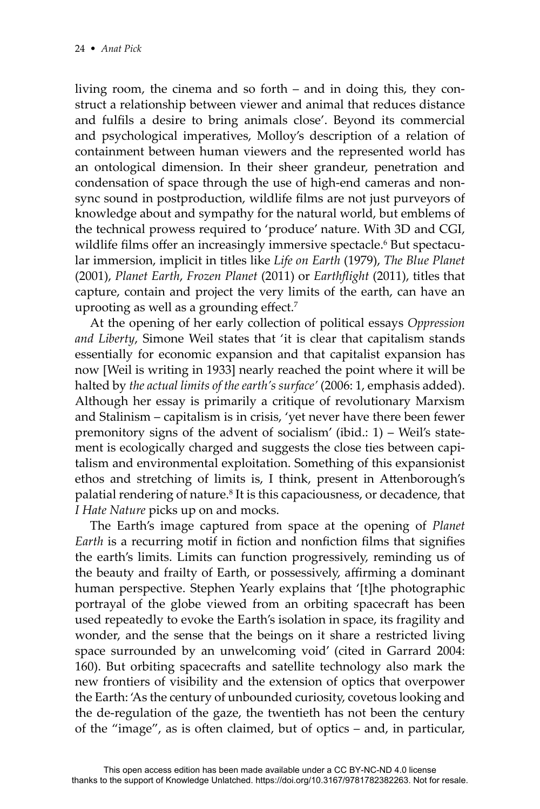living room, the cinema and so forth – and in doing this, they construct a relationship between viewer and animal that reduces distance and fulfils a desire to bring animals close'. Beyond its commercial and psychological imperatives, Molloy's description of a relation of containment between human viewers and the represented world has an ontological dimension. In their sheer grandeur, penetration and condensation of space through the use of high-end cameras and nonsync sound in postproduction, wildlife films are not just purveyors of knowledge about and sympathy for the natural world, but emblems of the technical prowess required to 'produce' nature. With 3D and CGI, wildlife films offer an increasingly immersive spectacle.<sup>6</sup> But spectacular immersion, implicit in titles like *Life on Earth* (1979), *The Blue Planet* (2001), *Planet Earth*, *Frozen Planet* (2011) or *Earthflight* (2011), titles that capture, contain and project the very limits of the earth, can have an uprooting as well as a grounding effect. $<sup>7</sup>$ </sup>

At the opening of her early collection of political essays *Oppression and Liberty*, Simone Weil states that 'it is clear that capitalism stands essentially for economic expansion and that capitalist expansion has now [Weil is writing in 1933] nearly reached the point where it will be halted by *the actual limits of the earth's surface'* (2006: 1, emphasis added). Although her essay is primarily a critique of revolutionary Marxism and Stalinism – capitalism is in crisis, 'yet never have there been fewer premonitory signs of the advent of socialism' (ibid.: 1) – Weil's statement is ecologically charged and suggests the close ties between capitalism and environmental exploitation. Something of this expansionist ethos and stretching of limits is, I think, present in Attenborough's palatial rendering of nature.<sup>8</sup> It is this capaciousness, or decadence, that *I Hate Nature* picks up on and mocks.

The Earth's image captured from space at the opening of *Planet Earth* is a recurring motif in fiction and nonfiction films that signifies the earth's limits. Limits can function progressively, reminding us of the beauty and frailty of Earth, or possessively, affirming a dominant human perspective. Stephen Yearly explains that '[t]he photographic portrayal of the globe viewed from an orbiting spacecraft has been used repeatedly to evoke the Earth's isolation in space, its fragility and wonder, and the sense that the beings on it share a restricted living space surrounded by an unwelcoming void' (cited in Garrard 2004: 160). But orbiting spacecrafts and satellite technology also mark the new frontiers of visibility and the extension of optics that overpower the Earth: 'As the century of unbounded curiosity, covetous looking and the de-regulation of the gaze, the twentieth has not been the century of the "image", as is often claimed, but of optics – and, in particular,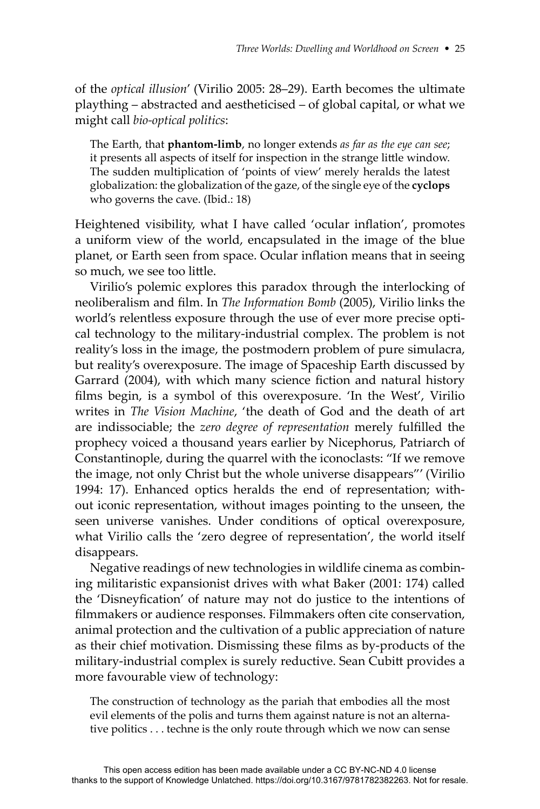of the *optical illusion*' (Virilio 2005: 28–29). Earth becomes the ultimate plaything – abstracted and aestheticised – of global capital, or what we might call *bio-optical politics*:

The Earth, that **phantom-limb**, no longer extends *as far as the eye can see*; it presents all aspects of itself for inspection in the strange little window. The sudden multiplication of 'points of view' merely heralds the latest globalization: the globalization of the gaze, of the single eye of the **cyclops** who governs the cave. (Ibid.: 18)

Heightened visibility, what I have called 'ocular inflation', promotes a uniform view of the world, encapsulated in the image of the blue planet, or Earth seen from space. Ocular inflation means that in seeing so much, we see too little.

Virilio's polemic explores this paradox through the interlocking of neoliberalism and film. In *The Information Bomb* (2005), Virilio links the world's relentless exposure through the use of ever more precise optical technology to the military-industrial complex. The problem is not reality's loss in the image, the postmodern problem of pure simulacra, but reality's overexposure. The image of Spaceship Earth discussed by Garrard (2004), with which many science fiction and natural history films begin, is a symbol of this overexposure. 'In the West', Virilio writes in *The Vision Machine*, 'the death of God and the death of art are indissociable; the *zero degree of representation* merely fulfilled the prophecy voiced a thousand years earlier by Nicephorus, Patriarch of Constantinople, during the quarrel with the iconoclasts: "If we remove the image, not only Christ but the whole universe disappears"' (Virilio 1994: 17). Enhanced optics heralds the end of representation; without iconic representation, without images pointing to the unseen, the seen universe vanishes. Under conditions of optical overexposure, what Virilio calls the 'zero degree of representation', the world itself disappears.

Negative readings of new technologies in wildlife cinema as combining militaristic expansionist drives with what Baker (2001: 174) called the 'Disneyfication' of nature may not do justice to the intentions of filmmakers or audience responses. Filmmakers often cite conservation, animal protection and the cultivation of a public appreciation of nature as their chief motivation. Dismissing these films as by-products of the military-industrial complex is surely reductive. Sean Cubitt provides a more favourable view of technology:

The construction of technology as the pariah that embodies all the most evil elements of the polis and turns them against nature is not an alternative politics . . . techne is the only route through which we now can sense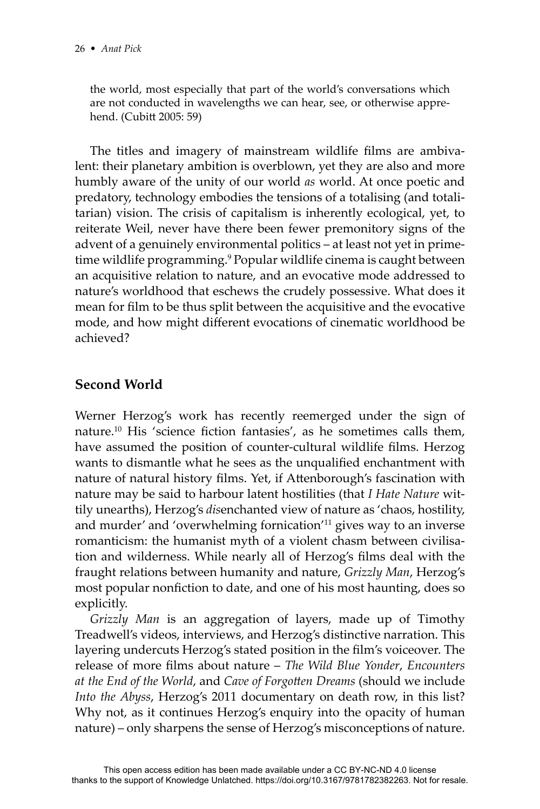the world, most especially that part of the world's conversations which are not conducted in wavelengths we can hear, see, or otherwise apprehend. (Cubitt 2005: 59)

The titles and imagery of mainstream wildlife films are ambivalent: their planetary ambition is overblown, yet they are also and more humbly aware of the unity of our world *as* world. At once poetic and predatory, technology embodies the tensions of a totalising (and totalitarian) vision. The crisis of capitalism is inherently ecological, yet, to reiterate Weil, never have there been fewer premonitory signs of the advent of a genuinely environmental politics – at least not yet in primetime wildlife programming.<sup>9</sup> Popular wildlife cinema is caught between an acquisitive relation to nature, and an evocative mode addressed to nature's worldhood that eschews the crudely possessive. What does it mean for film to be thus split between the acquisitive and the evocative mode, and how might different evocations of cinematic worldhood be achieved?

### **Second World**

Werner Herzog's work has recently reemerged under the sign of nature.10 His 'science fiction fantasies', as he sometimes calls them, have assumed the position of counter-cultural wildlife films. Herzog wants to dismantle what he sees as the unqualified enchantment with nature of natural history films. Yet, if Attenborough's fascination with nature may be said to harbour latent hostilities (that *I Hate Nature* wittily unearths), Herzog's *dis*enchanted view of nature as 'chaos, hostility, and murder' and 'overwhelming fornication'11 gives way to an inverse romanticism: the humanist myth of a violent chasm between civilisation and wilderness. While nearly all of Herzog's films deal with the fraught relations between humanity and nature, *Grizzly Man*, Herzog's most popular nonfiction to date, and one of his most haunting, does so explicitly.

*Grizzly Man* is an aggregation of layers, made up of Timothy Treadwell's videos, interviews, and Herzog's distinctive narration. This layering undercuts Herzog's stated position in the film's voiceover. The release of more films about nature – *The Wild Blue Yonder*, *Encounters at the End of the World*, and *Cave of Forgotten Dreams* (should we include *Into the Abyss*, Herzog's 2011 documentary on death row, in this list? Why not, as it continues Herzog's enquiry into the opacity of human nature) – only sharpens the sense of Herzog's misconceptions of nature.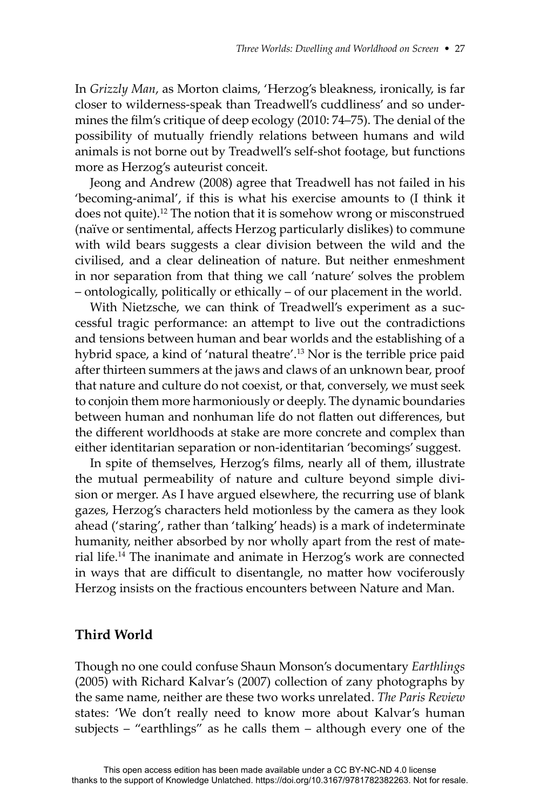In *Grizzly Man*, as Morton claims, 'Herzog's bleakness, ironically, is far closer to wilderness-speak than Treadwell's cuddliness' and so undermines the film's critique of deep ecology (2010: 74–75). The denial of the possibility of mutually friendly relations between humans and wild animals is not borne out by Treadwell's self-shot footage, but functions more as Herzog's auteurist conceit.

Jeong and Andrew (2008) agree that Treadwell has not failed in his 'becoming-animal', if this is what his exercise amounts to (I think it does not quite).<sup>12</sup> The notion that it is somehow wrong or misconstrued (naïve or sentimental, affects Herzog particularly dislikes) to commune with wild bears suggests a clear division between the wild and the civilised, and a clear delineation of nature. But neither enmeshment in nor separation from that thing we call 'nature' solves the problem – ontologically, politically or ethically – of our placement in the world.

With Nietzsche, we can think of Treadwell's experiment as a successful tragic performance: an attempt to live out the contradictions and tensions between human and bear worlds and the establishing of a hybrid space, a kind of 'natural theatre'.<sup>13</sup> Nor is the terrible price paid after thirteen summers at the jaws and claws of an unknown bear, proof that nature and culture do not coexist, or that, conversely, we must seek to conjoin them more harmoniously or deeply. The dynamic boundaries between human and nonhuman life do not flatten out differences, but the different worldhoods at stake are more concrete and complex than either identitarian separation or non-identitarian 'becomings' suggest.

In spite of themselves, Herzog's films, nearly all of them, illustrate the mutual permeability of nature and culture beyond simple division or merger. As I have argued elsewhere, the recurring use of blank gazes, Herzog's characters held motionless by the camera as they look ahead ('staring', rather than 'talking' heads) is a mark of indeterminate humanity, neither absorbed by nor wholly apart from the rest of material life.14 The inanimate and animate in Herzog's work are connected in ways that are difficult to disentangle, no matter how vociferously Herzog insists on the fractious encounters between Nature and Man.

#### **Third World**

Though no one could confuse Shaun Monson's documentary *Earthlings* (2005) with Richard Kalvar's (2007) collection of zany photographs by the same name, neither are these two works unrelated. *The Paris Review* states: 'We don't really need to know more about Kalvar's human subjects – "earthlings" as he calls them – although every one of the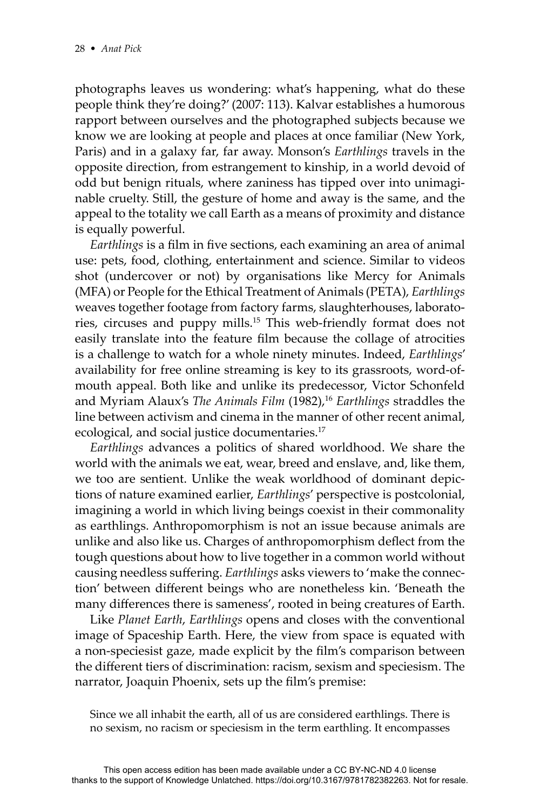photographs leaves us wondering: what's happening, what do these people think they're doing?' (2007: 113). Kalvar establishes a humorous rapport between ourselves and the photographed subjects because we know we are looking at people and places at once familiar (New York, Paris) and in a galaxy far, far away. Monson's *Earthlings* travels in the opposite direction, from estrangement to kinship, in a world devoid of odd but benign rituals, where zaniness has tipped over into unimaginable cruelty. Still, the gesture of home and away is the same, and the appeal to the totality we call Earth as a means of proximity and distance is equally powerful.

*Earthlings* is a film in five sections, each examining an area of animal use: pets, food, clothing, entertainment and science. Similar to videos shot (undercover or not) by organisations like Mercy for Animals (MFA) or People for the Ethical Treatment of Animals (PETA), *Earthlings* weaves together footage from factory farms, slaughterhouses, laboratories, circuses and puppy mills.15 This web-friendly format does not easily translate into the feature film because the collage of atrocities is a challenge to watch for a whole ninety minutes. Indeed, *Earthlings*' availability for free online streaming is key to its grassroots, word-ofmouth appeal. Both like and unlike its predecessor, Victor Schonfeld and Myriam Alaux's The Animals Film (1982),<sup>16</sup> Earthlings straddles the line between activism and cinema in the manner of other recent animal, ecological, and social justice documentaries.<sup>17</sup>

*Earthlings* advances a politics of shared worldhood. We share the world with the animals we eat, wear, breed and enslave, and, like them, we too are sentient. Unlike the weak worldhood of dominant depictions of nature examined earlier, *Earthlings*' perspective is postcolonial, imagining a world in which living beings coexist in their commonality as earthlings. Anthropomorphism is not an issue because animals are unlike and also like us. Charges of anthropomorphism deflect from the tough questions about how to live together in a common world without causing needless suffering. *Earthlings* asks viewers to 'make the connection' between different beings who are nonetheless kin. 'Beneath the many differences there is sameness', rooted in being creatures of Earth.

Like *Planet Earth*, *Earthlings* opens and closes with the conventional image of Spaceship Earth. Here, the view from space is equated with a non-speciesist gaze, made explicit by the film's comparison between the different tiers of discrimination: racism, sexism and speciesism. The narrator, Joaquin Phoenix, sets up the film's premise:

Since we all inhabit the earth, all of us are considered earthlings. There is no sexism, no racism or speciesism in the term earthling. It encompasses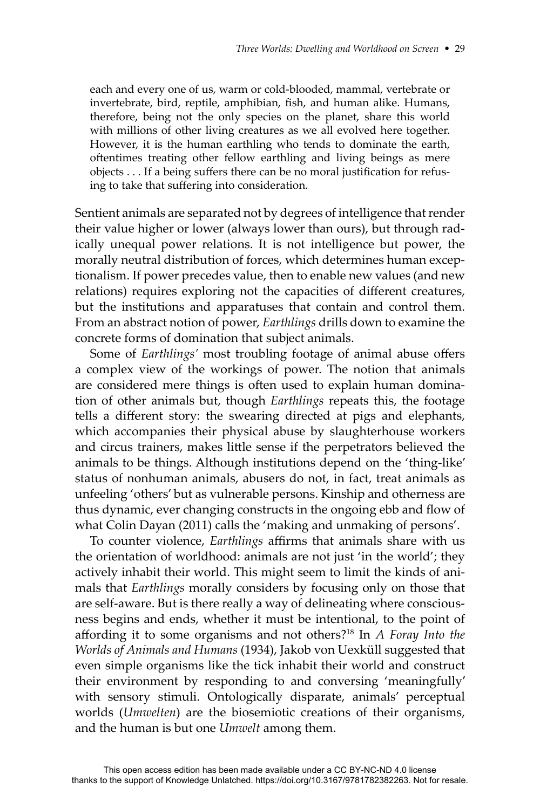each and every one of us, warm or cold-blooded, mammal, vertebrate or invertebrate, bird, reptile, amphibian, fish, and human alike. Humans, therefore, being not the only species on the planet, share this world with millions of other living creatures as we all evolved here together. However, it is the human earthling who tends to dominate the earth, oftentimes treating other fellow earthling and living beings as mere objects . . . If a being suffers there can be no moral justification for refusing to take that suffering into consideration.

Sentient animals are separated not by degrees of intelligence that render their value higher or lower (always lower than ours), but through radically unequal power relations. It is not intelligence but power, the morally neutral distribution of forces, which determines human exceptionalism. If power precedes value, then to enable new values (and new relations) requires exploring not the capacities of different creatures, but the institutions and apparatuses that contain and control them. From an abstract notion of power, *Earthlings* drills down to examine the concrete forms of domination that subject animals.

Some of *Earthlings'* most troubling footage of animal abuse offers a complex view of the workings of power. The notion that animals are considered mere things is often used to explain human domination of other animals but, though *Earthlings* repeats this, the footage tells a different story: the swearing directed at pigs and elephants, which accompanies their physical abuse by slaughterhouse workers and circus trainers, makes little sense if the perpetrators believed the animals to be things. Although institutions depend on the 'thing-like' status of nonhuman animals, abusers do not, in fact, treat animals as unfeeling 'others' but as vulnerable persons. Kinship and otherness are thus dynamic, ever changing constructs in the ongoing ebb and flow of what Colin Dayan (2011) calls the 'making and unmaking of persons'.

To counter violence, *Earthlings* affirms that animals share with us the orientation of worldhood: animals are not just 'in the world'; they actively inhabit their world. This might seem to limit the kinds of animals that *Earthlings* morally considers by focusing only on those that are self-aware. But is there really a way of delineating where consciousness begins and ends, whether it must be intentional, to the point of affording it to some organisms and not others?18 In *A Foray Into the Worlds of Animals and Humans* (1934), Jakob von Uexküll suggested that even simple organisms like the tick inhabit their world and construct their environment by responding to and conversing 'meaningfully' with sensory stimuli. Ontologically disparate, animals' perceptual worlds (*Umwelten*) are the biosemiotic creations of their organisms, and the human is but one *Umwelt* among them.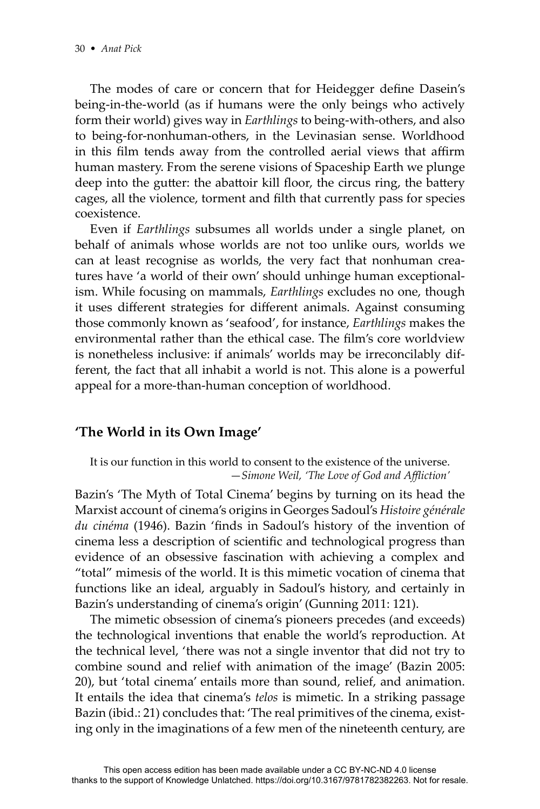The modes of care or concern that for Heidegger define Dasein's being-in-the-world (as if humans were the only beings who actively form their world) gives way in *Earthlings* to being-with-others, and also to being-for-nonhuman-others, in the Levinasian sense. Worldhood in this film tends away from the controlled aerial views that affirm human mastery. From the serene visions of Spaceship Earth we plunge deep into the gutter: the abattoir kill floor, the circus ring, the battery cages, all the violence, torment and filth that currently pass for species coexistence.

Even if *Earthlings* subsumes all worlds under a single planet, on behalf of animals whose worlds are not too unlike ours, worlds we can at least recognise as worlds, the very fact that nonhuman creatures have 'a world of their own' should unhinge human exceptionalism. While focusing on mammals, *Earthlings* excludes no one, though it uses different strategies for different animals. Against consuming those commonly known as 'seafood', for instance, *Earthlings* makes the environmental rather than the ethical case. The film's core worldview is nonetheless inclusive: if animals' worlds may be irreconcilably different, the fact that all inhabit a world is not. This alone is a powerful appeal for a more-than-human conception of worldhood.

#### **'The World in its Own Image'**

It is our function in this world to consent to the existence of the universe. —*Simone Weil, 'The Love of God and Affliction'*

Bazin's 'The Myth of Total Cinema' begins by turning on its head the Marxist account of cinema's origins in Georges Sadoul's *Histoire générale du cinéma* (1946). Bazin 'finds in Sadoul's history of the invention of cinema less a description of scientific and technological progress than evidence of an obsessive fascination with achieving a complex and "total" mimesis of the world. It is this mimetic vocation of cinema that functions like an ideal, arguably in Sadoul's history, and certainly in Bazin's understanding of cinema's origin' (Gunning 2011: 121).

The mimetic obsession of cinema's pioneers precedes (and exceeds) the technological inventions that enable the world's reproduction. At the technical level, 'there was not a single inventor that did not try to combine sound and relief with animation of the image' (Bazin 2005: 20), but 'total cinema' entails more than sound, relief, and animation. It entails the idea that cinema's *telos* is mimetic. In a striking passage Bazin (ibid.: 21) concludes that: 'The real primitives of the cinema, existing only in the imaginations of a few men of the nineteenth century, are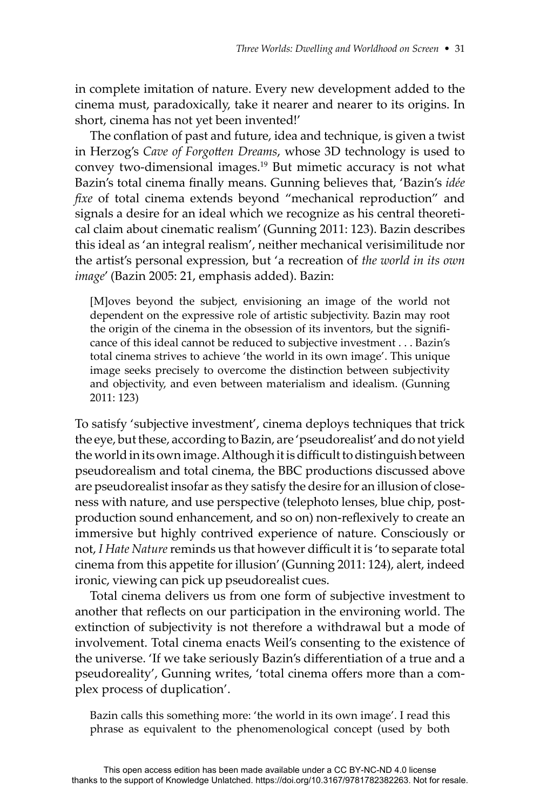in complete imitation of nature. Every new development added to the cinema must, paradoxically, take it nearer and nearer to its origins. In short, cinema has not yet been invented!'

The conflation of past and future, idea and technique, is given a twist in Herzog's *Cave of Forgotten Dreams*, whose 3D technology is used to convey two-dimensional images.19 But mimetic accuracy is not what Bazin's total cinema finally means. Gunning believes that, 'Bazin's *idée fixe* of total cinema extends beyond "mechanical reproduction" and signals a desire for an ideal which we recognize as his central theoretical claim about cinematic realism' (Gunning 2011: 123). Bazin describes this ideal as 'an integral realism', neither mechanical verisimilitude nor the artist's personal expression, but 'a recreation of *the world in its own image*' (Bazin 2005: 21, emphasis added). Bazin:

[M]oves beyond the subject, envisioning an image of the world not dependent on the expressive role of artistic subjectivity. Bazin may root the origin of the cinema in the obsession of its inventors, but the significance of this ideal cannot be reduced to subjective investment . . . Bazin's total cinema strives to achieve 'the world in its own image'. This unique image seeks precisely to overcome the distinction between subjectivity and objectivity, and even between materialism and idealism. (Gunning 2011: 123)

To satisfy 'subjective investment', cinema deploys techniques that trick the eye, but these, according to Bazin, are 'pseudorealist' and do not yield the world in its own image. Although it is difficult to distinguish between pseudorealism and total cinema, the BBC productions discussed above are pseudorealist insofar as they satisfy the desire for an illusion of closeness with nature, and use perspective (telephoto lenses, blue chip, postproduction sound enhancement, and so on) non-reflexively to create an immersive but highly contrived experience of nature. Consciously or not, *I Hate Nature* reminds us that however difficult it is 'to separate total cinema from this appetite for illusion' (Gunning 2011: 124), alert, indeed ironic, viewing can pick up pseudorealist cues.

Total cinema delivers us from one form of subjective investment to another that reflects on our participation in the environing world. The extinction of subjectivity is not therefore a withdrawal but a mode of involvement. Total cinema enacts Weil's consenting to the existence of the universe. 'If we take seriously Bazin's differentiation of a true and a pseudoreality', Gunning writes, 'total cinema offers more than a complex process of duplication'.

Bazin calls this something more: 'the world in its own image'. I read this phrase as equivalent to the phenomenological concept (used by both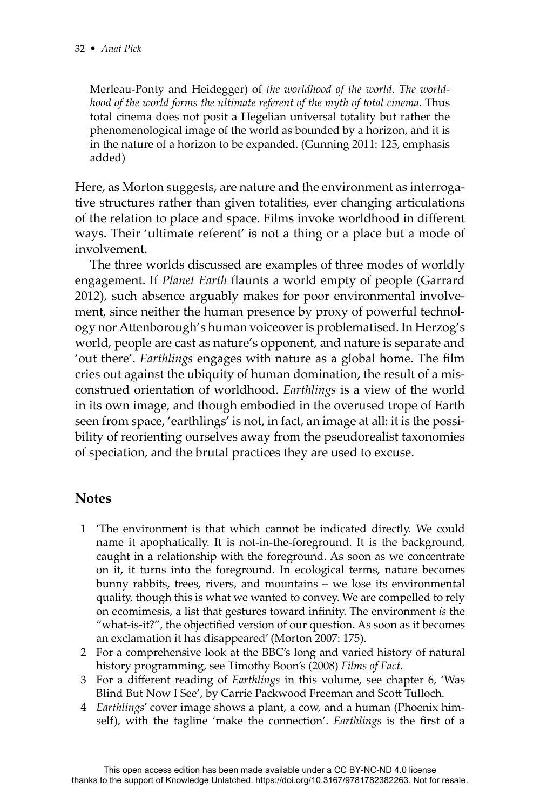Merleau-Ponty and Heidegger) of *the worldhood of the world*. *The worldhood of the world forms the ultimate referent of the myth of total cinema*. Thus total cinema does not posit a Hegelian universal totality but rather the phenomenological image of the world as bounded by a horizon, and it is in the nature of a horizon to be expanded. (Gunning 2011: 125, emphasis added)

Here, as Morton suggests, are nature and the environment as interrogative structures rather than given totalities, ever changing articulations of the relation to place and space. Films invoke worldhood in different ways. Their 'ultimate referent' is not a thing or a place but a mode of involvement.

The three worlds discussed are examples of three modes of worldly engagement. If *Planet Earth* flaunts a world empty of people (Garrard 2012), such absence arguably makes for poor environmental involvement, since neither the human presence by proxy of powerful technology nor Attenborough's human voiceover is problematised. In Herzog's world, people are cast as nature's opponent, and nature is separate and 'out there'. *Earthlings* engages with nature as a global home. The film cries out against the ubiquity of human domination, the result of a misconstrued orientation of worldhood. *Earthlings* is a view of the world in its own image, and though embodied in the overused trope of Earth seen from space, 'earthlings' is not, in fact, an image at all: it is the possibility of reorienting ourselves away from the pseudorealist taxonomies of speciation, and the brutal practices they are used to excuse.

#### **Notes**

- 1 'The environment is that which cannot be indicated directly. We could name it apophatically. It is not-in-the-foreground. It is the background, caught in a relationship with the foreground. As soon as we concentrate on it, it turns into the foreground. In ecological terms, nature becomes bunny rabbits, trees, rivers, and mountains – we lose its environmental quality, though this is what we wanted to convey. We are compelled to rely on ecomimesis, a list that gestures toward infinity. The environment *is* the "what-is-it?", the objectified version of our question. As soon as it becomes an exclamation it has disappeared' (Morton 2007: 175).
- 2 For a comprehensive look at the BBC's long and varied history of natural history programming, see Timothy Boon's (2008) *Films of Fact*.
- 3 For a different reading of *Earthlings* in this volume, see chapter 6, 'Was Blind But Now I See', by Carrie Packwood Freeman and Scott Tulloch.
- 4 *Earthlings*' cover image shows a plant, a cow, and a human (Phoenix himself), with the tagline 'make the connection'. *Earthlings* is the first of a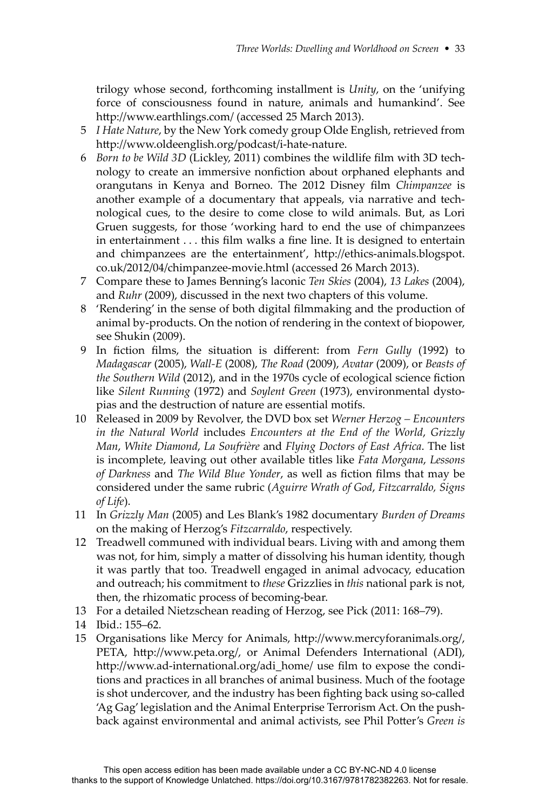trilogy whose second, forthcoming installment is *Unity*, on the 'unifying force of consciousness found in nature, animals and humankind'. See http://www.earthlings.com/ (accessed 25 March 2013).

- 5 *I Hate Nature*, by the New York comedy group Olde English, retrieved from http://www.oldeenglish.org/podcast/i-hate-nature.
- 6 *Born to be Wild 3D* (Lickley, 2011) combines the wildlife film with 3D technology to create an immersive nonfiction about orphaned elephants and orangutans in Kenya and Borneo. The 2012 Disney film *Chimpanzee* is another example of a documentary that appeals, via narrative and technological cues, to the desire to come close to wild animals. But, as Lori Gruen suggests, for those 'working hard to end the use of chimpanzees in entertainment . . . this film walks a fine line. It is designed to entertain and chimpanzees are the entertainment', http://ethics-animals.blogspot. co.uk/2012/04/chimpanzee-movie.html (accessed 26 March 2013).
- 7 Compare these to James Benning's laconic *Ten Skies* (2004), *13 Lakes* (2004), and *Ruhr* (2009), discussed in the next two chapters of this volume.
- 8 'Rendering' in the sense of both digital filmmaking and the production of animal by-products. On the notion of rendering in the context of biopower, see Shukin (2009).
- 9 In fiction films, the situation is different: from *Fern Gully* (1992) to *Madagascar* (2005), *Wall-E* (2008), *The Road* (2009), *Avatar* (2009), or *Beasts of the Southern Wild* (2012), and in the 1970s cycle of ecological science fiction like *Silent Running* (1972) and *Soylent Green* (1973), environmental dystopias and the destruction of nature are essential motifs.
- 10 Released in 2009 by Revolver, the DVD box set *Werner Herzog Encounters in the Natural World* includes *Encounters at the End of the World*, *Grizzly Man*, *White Diamond*, *La Soufrière* and *Flying Doctors of East Africa*. The list is incomplete, leaving out other available titles like *Fata Morgana*, *Lessons of Darkness* and *The Wild Blue Yonder*, as well as fiction films that may be considered under the same rubric (*Aguirre Wrath of God*, *Fitzcarraldo, Signs of Life*).
- 11 In *Grizzly Man* (2005) and Les Blank's 1982 documentary *Burden of Dreams* on the making of Herzog's *Fitzcarraldo*, respectively.
- 12 Treadwell communed with individual bears. Living with and among them was not, for him, simply a matter of dissolving his human identity, though it was partly that too. Treadwell engaged in animal advocacy, education and outreach; his commitment to *these* Grizzlies in *this* national park is not, then, the rhizomatic process of becoming-bear.
- 13 For a detailed Nietzschean reading of Herzog, see Pick (2011: 168–79).
- 14 Ibid.: 155–62.
- 15 Organisations like Mercy for Animals, http://www.mercyforanimals.org/, PETA, http://www.peta.org/, or Animal Defenders International (ADI), http://www.ad-international.org/adi\_home/ use film to expose the conditions and practices in all branches of animal business. Much of the footage is shot undercover, and the industry has been fighting back using so-called 'Ag Gag' legislation and the Animal Enterprise Terrorism Act. On the pushback against environmental and animal activists, see Phil Potter's *Green is*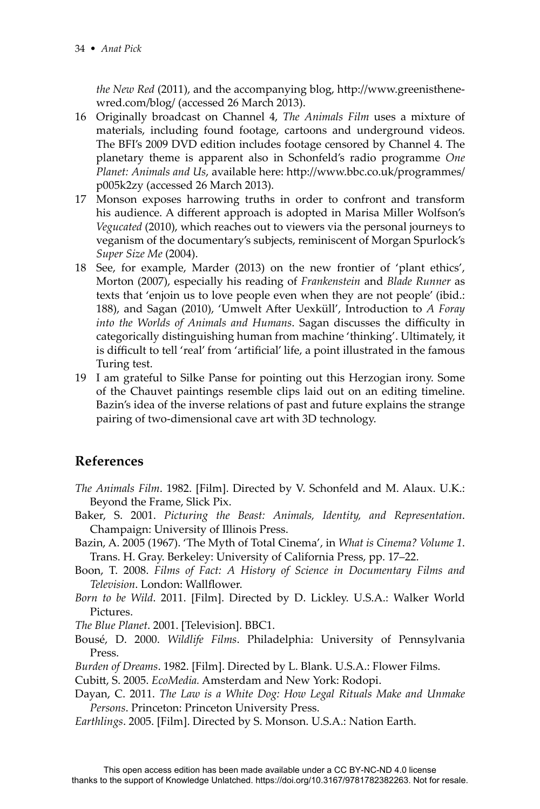*the New Red* (2011), and the accompanying blog, http://www.greenisthenewred.com/blog/ (accessed 26 March 2013).

- 16 Originally broadcast on Channel 4, *The Animals Film* uses a mixture of materials, including found footage, cartoons and underground videos. The BFI's 2009 DVD edition includes footage censored by Channel 4. The planetary theme is apparent also in Schonfeld's radio programme *One Planet: Animals and Us*, available here: http://www.bbc.co.uk/programmes/ p005k2zy (accessed 26 March 2013).
- 17 Monson exposes harrowing truths in order to confront and transform his audience. A different approach is adopted in Marisa Miller Wolfson's *Vegucated* (2010), which reaches out to viewers via the personal journeys to veganism of the documentary's subjects, reminiscent of Morgan Spurlock's *Super Size Me* (2004).
- 18 See, for example, Marder (2013) on the new frontier of 'plant ethics', Morton (2007), especially his reading of *Frankenstein* and *Blade Runner* as texts that 'enjoin us to love people even when they are not people' (ibid.: 188), and Sagan (2010), 'Umwelt After Uexküll', Introduction to *A Foray into the Worlds of Animals and Humans*. Sagan discusses the difficulty in categorically distinguishing human from machine 'thinking'. Ultimately, it is difficult to tell 'real' from 'artificial' life, a point illustrated in the famous Turing test.
- 19 I am grateful to Silke Panse for pointing out this Herzogian irony. Some of the Chauvet paintings resemble clips laid out on an editing timeline. Bazin's idea of the inverse relations of past and future explains the strange pairing of two-dimensional cave art with 3D technology.

## **References**

- *The Animals Film*. 1982. [Film]. Directed by V. Schonfeld and M. Alaux. U.K.: Beyond the Frame, Slick Pix.
- Baker, S. 2001. *Picturing the Beast: Animals, Identity, and Representation*. Champaign: University of Illinois Press.
- Bazin, A. 2005 (1967). 'The Myth of Total Cinema', in *What is Cinema? Volume 1*. Trans. H. Gray. Berkeley: University of California Press, pp. 17–22.
- Boon, T. 2008. *Films of Fact: A History of Science in Documentary Films and Television*. London: Wallflower.
- *Born to be Wild*. 2011. [Film]. Directed by D. Lickley. U.S.A.: Walker World Pictures.
- *The Blue Planet*. 2001. [Television]. BBC1.
- Bousé, D. 2000. *Wildlife Films*. Philadelphia: University of Pennsylvania Press.
- *Burden of Dreams*. 1982. [Film]. Directed by L. Blank. U.S.A.: Flower Films.
- Cubitt, S. 2005. *EcoMedia.* Amsterdam and New York: Rodopi.
- Dayan, C. 2011. *The Law is a White Dog: How Legal Rituals Make and Unmake Persons*. Princeton: Princeton University Press.
- *Earthlings*. 2005. [Film]. Directed by S. Monson. U.S.A.: Nation Earth.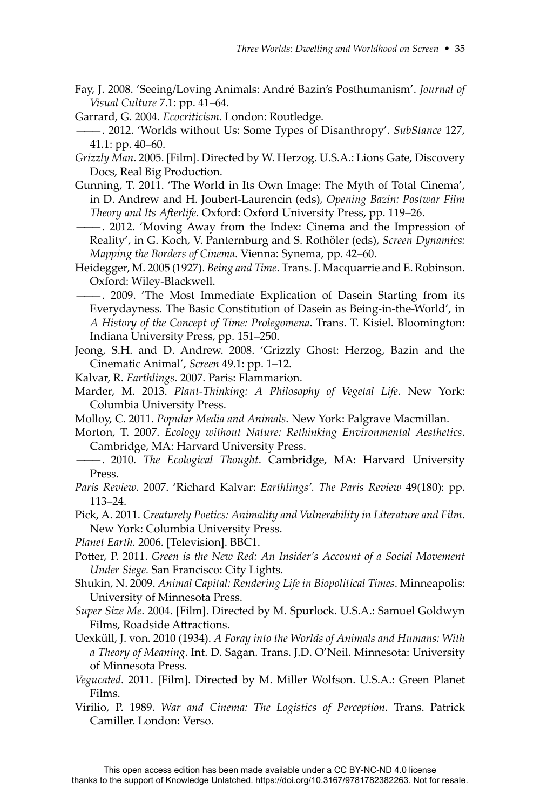Fay, J. 2008. 'Seeing/Loving Animals: André Bazin's Posthumanism'. *Journal of Visual Culture* 7.1: pp. 41–64.

Garrard, G. 2004. *Ecocriticism*. London: Routledge.

- ———. 2012. 'Worlds without Us: Some Types of Disanthropy'. *SubStance* 127, 41.1: pp. 40–60.
- *Grizzly Man*. 2005. [Film]. Directed by W. Herzog. U.S.A.: Lions Gate, Discovery Docs, Real Big Production.
- Gunning, T. 2011. 'The World in Its Own Image: The Myth of Total Cinema', in D. Andrew and H. Joubert-Laurencin (eds), *Opening Bazin: Postwar Film Theory and Its Afterlife*. Oxford: Oxford University Press, pp. 119–26.
- ———. 2012. 'Moving Away from the Index: Cinema and the Impression of Reality', in G. Koch, V. Panternburg and S. Rothöler (eds), *Screen Dynamics: Mapping the Borders of Cinema*. Vienna: Synema, pp. 42–60.
- Heidegger, M. 2005 (1927). *Being and Time*. Trans. J. Macquarrie and E. Robinson. Oxford: Wiley-Blackwell.
- ———. 2009. 'The Most Immediate Explication of Dasein Starting from its Everydayness. The Basic Constitution of Dasein as Being-in-the-World', in *A History of the Concept of Time: Prolegomena*. Trans. T. Kisiel. Bloomington: Indiana University Press, pp. 151–250.
- Jeong, S.H. and D. Andrew. 2008. 'Grizzly Ghost: Herzog, Bazin and the Cinematic Animal', *Screen* 49.1: pp. 1–12.
- Kalvar, R. *Earthlings*. 2007. Paris: Flammarion.
- Marder, M. 2013. *Plant-Thinking: A Philosophy of Vegetal Life*. New York: Columbia University Press.
- Molloy, C. 2011. *Popular Media and Animals*. New York: Palgrave Macmillan.
- Morton, T. 2007. *Ecology without Nature: Rethinking Environmental Aesthetics*. Cambridge, MA: Harvard University Press.
- ———. 2010. *The Ecological Thought*. Cambridge, MA: Harvard University Press.
- *Paris Review*. 2007. 'Richard Kalvar: *Earthlings'. The Paris Review* 49(180): pp. 113–24.
- Pick, A. 2011. *Creaturely Poetics: Animality and Vulnerability in Literature and Film*. New York: Columbia University Press.
- *Planet Earth.* 2006. [Television]. BBC1.
- Potter, P. 2011. *Green is the New Red: An Insider's Account of a Social Movement Under Siege.* San Francisco: City Lights.
- Shukin, N. 2009. *Animal Capital: Rendering Life in Biopolitical Times*. Minneapolis: University of Minnesota Press.
- *Super Size Me*. 2004. [Film]. Directed by M. Spurlock. U.S.A.: Samuel Goldwyn Films, Roadside Attractions.
- Uexküll, J. von. 2010 (1934). *A Foray into the Worlds of Animals and Humans: With a Theory of Meaning*. Int. D. Sagan. Trans. J.D. O'Neil. Minnesota: University of Minnesota Press.
- *Vegucated*. 2011. [Film]. Directed by M. Miller Wolfson. U.S.A.: Green Planet Films.
- Virilio, P. 1989. *War and Cinema: The Logistics of Perception*. Trans. Patrick Camiller. London: Verso.